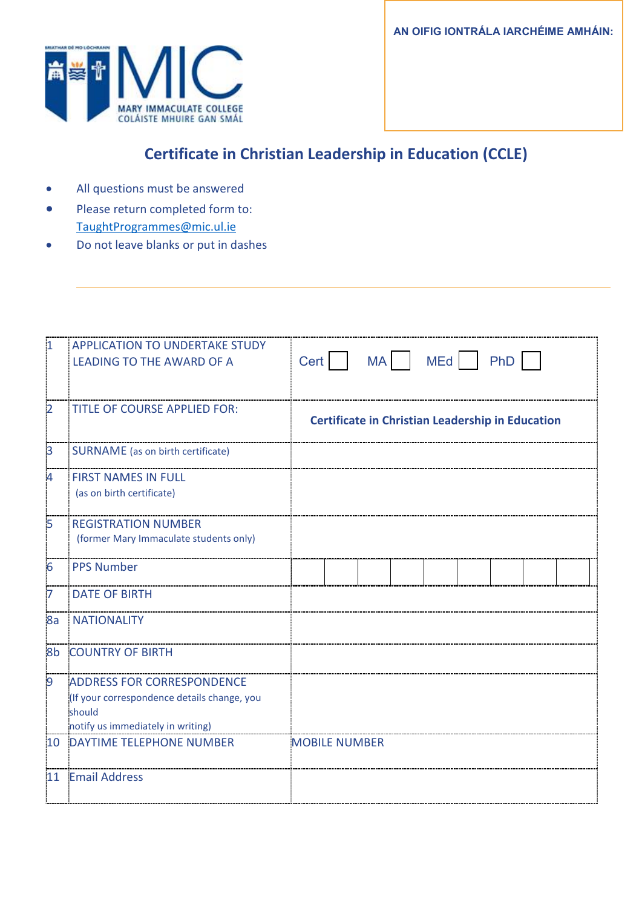**AN OIFIG IONTRÁLA IARCHÉIME AMHÁIN:**



# **Certificate in Christian Leadership in Education (CCLE)**

- All questions must be answered
- Please return completed form to: [TaughtProgrammes@mic.ul.ie](mailto:TaughtProgrammes@mic.ul.ie)
- Do not leave blanks or put in dashes

| $\overline{\mathbf{1}}$ | <b>APPLICATION TO UNDERTAKE STUDY</b><br><b>LEADING TO THE AWARD OF A</b>                                                       | Cert |                                                         | MA <sup>N</sup> | <b>MEd</b> | PhD |  |
|-------------------------|---------------------------------------------------------------------------------------------------------------------------------|------|---------------------------------------------------------|-----------------|------------|-----|--|
|                         |                                                                                                                                 |      |                                                         |                 |            |     |  |
| $\overline{2}$          | <b>TITLE OF COURSE APPLIED FOR:</b>                                                                                             |      | <b>Certificate in Christian Leadership in Education</b> |                 |            |     |  |
| 3                       | <b>SURNAME</b> (as on birth certificate)                                                                                        |      |                                                         |                 |            |     |  |
| $\overline{4}$          | <b>FIRST NAMES IN FULL</b><br>(as on birth certificate)                                                                         |      |                                                         |                 |            |     |  |
| 5                       | <b>REGISTRATION NUMBER</b><br>(former Mary Immaculate students only)                                                            |      |                                                         |                 |            |     |  |
| $6\phantom{1}6$         | <b>PPS Number</b>                                                                                                               |      |                                                         |                 |            |     |  |
| 7                       | <b>DATE OF BIRTH</b>                                                                                                            |      |                                                         |                 |            |     |  |
| 8a                      | <b>NATIONALITY</b>                                                                                                              |      |                                                         |                 |            |     |  |
| 8b                      | <b>COUNTRY OF BIRTH</b>                                                                                                         |      |                                                         |                 |            |     |  |
| $\overline{9}$          | <b>ADDRESS FOR CORRESPONDENCE</b><br>(If your correspondence details change, you<br>should<br>notify us immediately in writing) |      |                                                         |                 |            |     |  |
|                         | 10 DAYTIME TELEPHONE NUMBER                                                                                                     |      | <b>MOBILE NUMBER</b>                                    |                 |            |     |  |
| 11                      | <b>Email Address</b>                                                                                                            |      |                                                         |                 |            |     |  |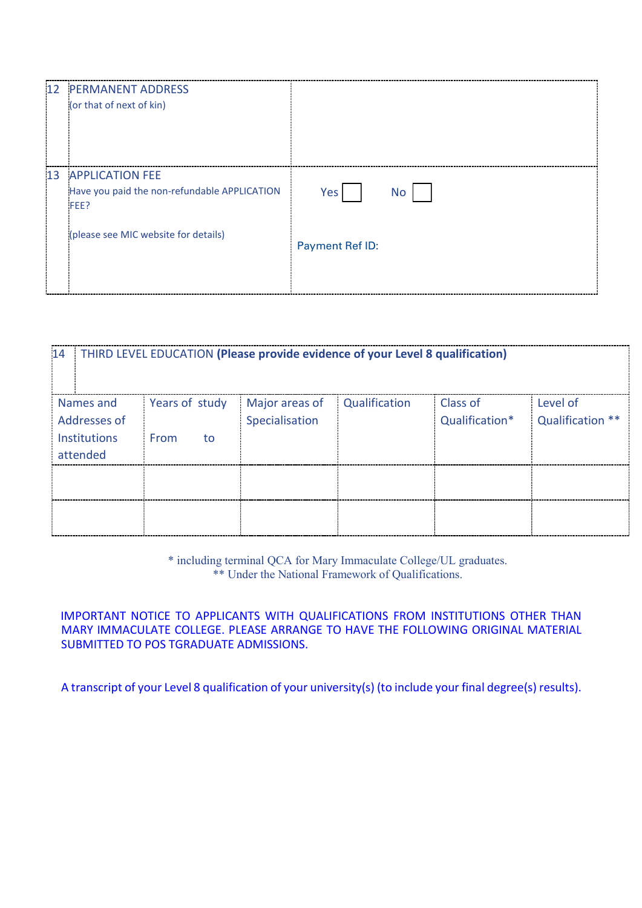| 12 <sub>1</sub> | <b>PERMANENT ADDRESS</b><br>(or that of next of kin)                                  |                        |
|-----------------|---------------------------------------------------------------------------------------|------------------------|
| 13              | <b>APPLICATION FEE</b><br>Have you paid the non-refundable APPLICATION<br><b>FEE?</b> | No.<br>Yes             |
|                 | (please see MIC website for details)                                                  | <b>Payment Ref ID:</b> |

| 14                  | THIRD LEVEL EDUCATION (Please provide evidence of your Level 8 qualification) |                |               |                |                  |  |  |
|---------------------|-------------------------------------------------------------------------------|----------------|---------------|----------------|------------------|--|--|
| Names and           | Years of study                                                                | Major areas of | Qualification | Class of       | Level of         |  |  |
| Addresses of        |                                                                               | Specialisation |               | Qualification* | Qualification ** |  |  |
| <b>Institutions</b> | From<br>to                                                                    |                |               |                |                  |  |  |
| attended            |                                                                               |                |               |                |                  |  |  |
|                     |                                                                               |                |               |                |                  |  |  |
|                     |                                                                               |                |               |                |                  |  |  |
|                     |                                                                               |                |               |                |                  |  |  |
|                     |                                                                               |                |               |                |                  |  |  |

\* including terminal QCA for Mary Immaculate College/UL graduates. \*\* Under the National Framework of Qualifications.

IMPORTANT NOTICE TO APPLICANTS WITH QUALIFICATIONS FROM INSTITUTIONS OTHER THAN MARY IMMACULATE COLLEGE. PLEASE ARRANGE TO HAVE THE FOLLOWING ORIGINAL MATERIAL SUBMITTED TO POS TGRADUATE ADMISSIONS.

A transcript of your Level 8 qualification of your university(s) (to include your final degree(s) results).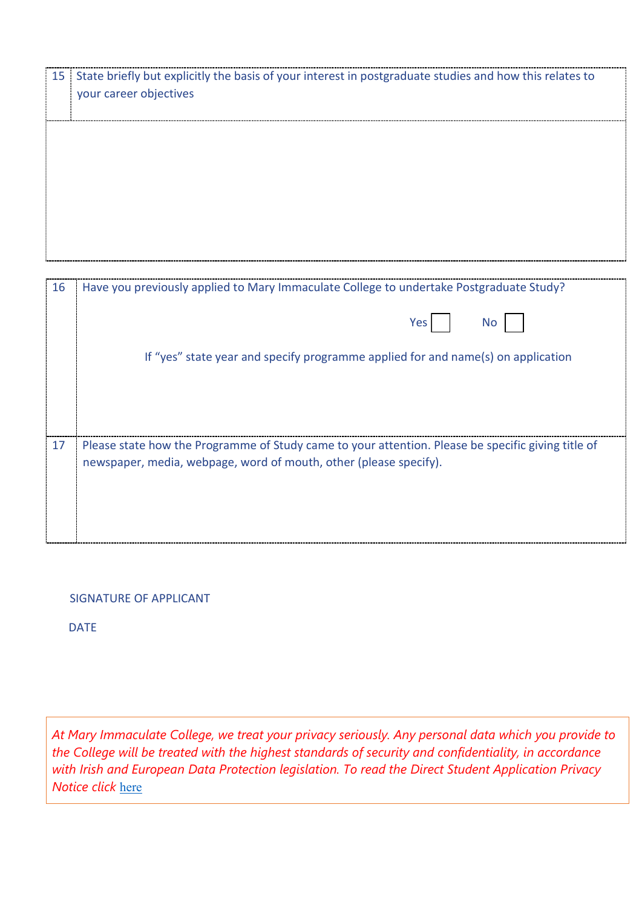| 15 State briefly but explicitly the basis of your interest in postgraduate studies and how this relates to<br>your career objectives |  |
|--------------------------------------------------------------------------------------------------------------------------------------|--|
|                                                                                                                                      |  |
|                                                                                                                                      |  |
|                                                                                                                                      |  |

| 16 | Have you previously applied to Mary Immaculate College to undertake Postgraduate Study?                                                                                 |  |  |  |
|----|-------------------------------------------------------------------------------------------------------------------------------------------------------------------------|--|--|--|
|    | Yes l<br>No l                                                                                                                                                           |  |  |  |
|    | If "yes" state year and specify programme applied for and name(s) on application                                                                                        |  |  |  |
|    |                                                                                                                                                                         |  |  |  |
|    |                                                                                                                                                                         |  |  |  |
| 17 | Please state how the Programme of Study came to your attention. Please be specific giving title of<br>newspaper, media, webpage, word of mouth, other (please specify). |  |  |  |
|    |                                                                                                                                                                         |  |  |  |

#### SIGNATURE OF APPLICANT

DATE

*At Mary Immaculate College, we treat your privacy seriously. Any personal data which you provide to the College will be treated with the highest standards of security and confidentiality, in accordance with Irish and European Data Protection legislation. To read the Direct Student Application Privacy Notice click* [here](https://www.mic.ul.ie/sites/default/files/uploads/461/Direct%20Student%20Application%20Privacy%20Notice_1.pdf)